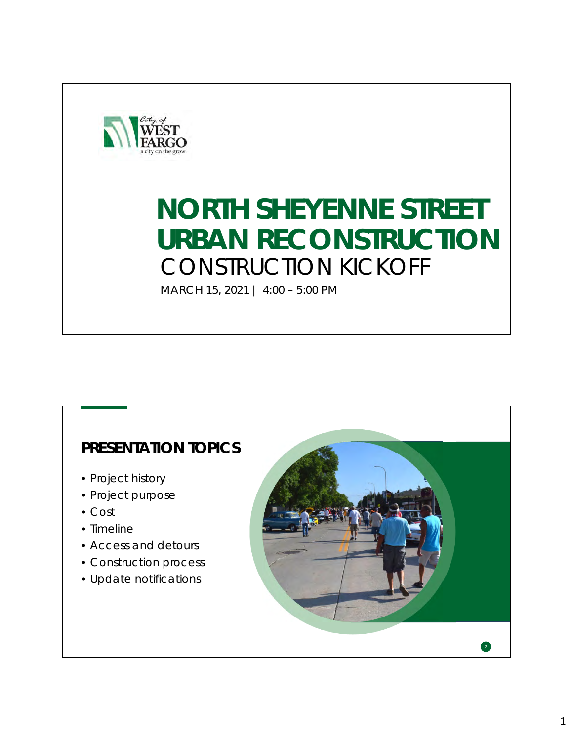

# **NORTH SHEYENNE STREET URBAN RECONSTRUCTION** CONSTRUCTION KICKOFF

MARCH 15, 2021 | 4:00 – 5:00 PM

### **PRESENTATION TOPICS**

- Project history
- Project purpose
- Cost
- Timeline
- Access and detours
- Construction process
- Update notifications

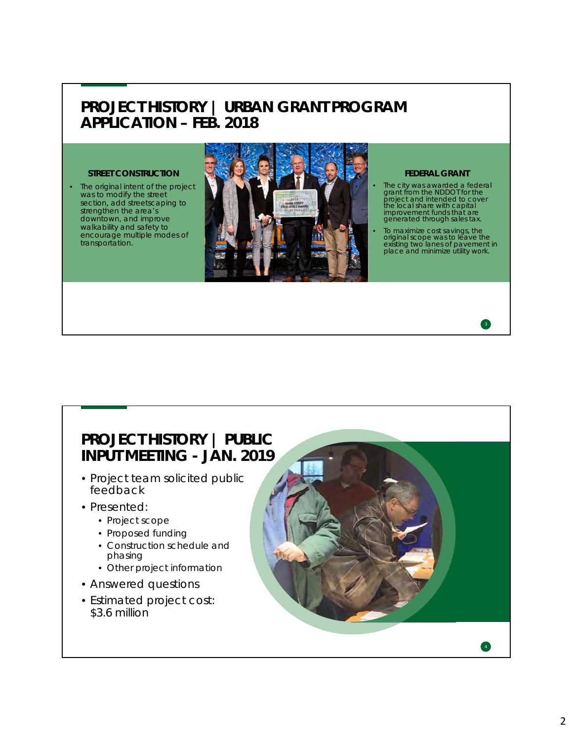#### **PROJECT HISTORY | URBAN GRANT PROGRAM APPLICATION – FEB. 2018**

The original intent of the project was to modify the street section, add streetscaping to strengthen the area's downtown, and improve walkability and safety to encourage multiple modes of transportation.



- The city was awarded a federal grant from the NDDOT for the project and intended to cover the local share with capital improvement funds that are generated through sales tax.
- To maximize cost savings, the original scope was to leave the existing two lanes of pavement in place and minimize utility work.



#### **PROJECT HISTORY | PUBLIC INPUT MEETING - JAN. 2019**

- Project team solicited public feedback
- Presented:
	- Project scope
	- Proposed funding
	- Construction schedule and phasing
	- Other project information
- Answered questions
- Estimated project cost: \$3.6 million

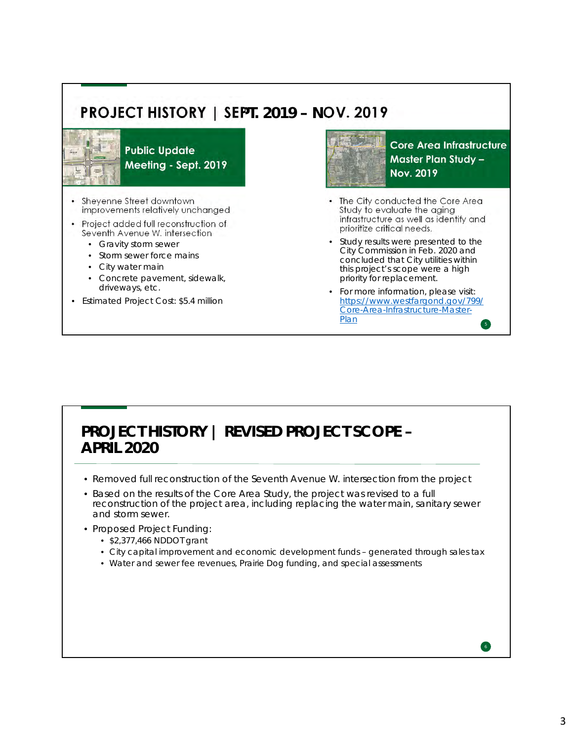## **PROJECT HISTORY | SEPT. 2019 – NOV. 2019**



**Public Update** Meeting - Sept. 2019

- Sheyenne Street downtown improvements relatively unchanged
- Project added full reconstruction of Seventh Avenue W. intersection
	- Gravity storm sewer
	- Storm sewer force mains
	- City water main
	- Concrete pavement, sidewalk, driveways, etc.
- Estimated Project Cost: \$5.4 million



**Core Area Infrastructure Master Plan Study -Nov. 2019** 

- The City conducted the Core Area Study to evaluate the aging infrastructure as well as identify and prioritize critical needs.
- Study results were presented to the City Commission in Feb. 2020 and concluded that City utilities within this project's scope were a high priority for replacement.
- For more information, please visit: https://www.westfargond.gov/799/ Core-Area-Infrastructure-Master-Plan

#### **PROJECT HISTORY | REVISED PROJECT SCOPE – APRIL 2020**

- Removed full reconstruction of the Seventh Avenue W. intersection from the project
- Based on the results of the Core Area Study, the project was revised to a full reconstruction of the project area, including replacing the water main, sanitary sewer and storm sewer.
- Proposed Project Funding:
	- \$2,377,466 NDDOT grant
	- City capital improvement and economic development funds generated through sales tax
	- Water and sewer fee revenues, Prairie Dog funding, and special assessments

6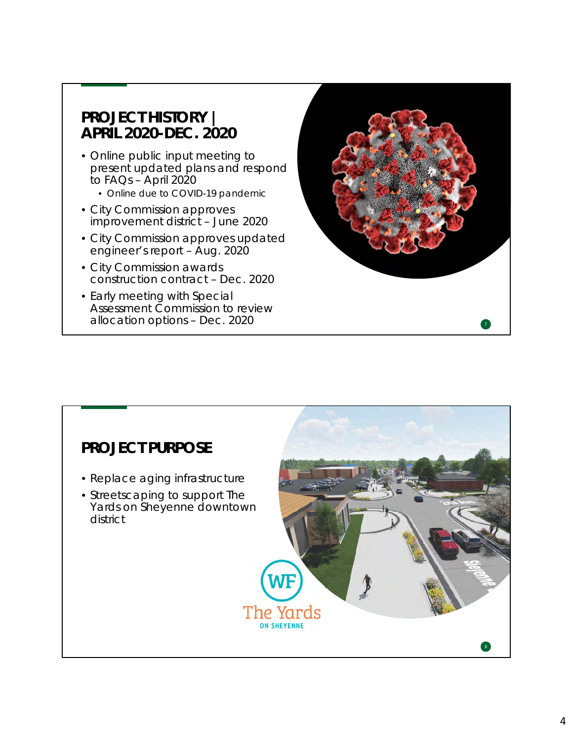#### **PROJECT HISTORY | APRIL 2020-DEC. 2020**

- Online public input meeting to present updated plans and respond to FAQs – April 2020
	- Online due to COVID-19 pandemic
- City Commission approves improvement district – June 2020
- City Commission approves updated engineer's report – Aug. 2020
- City Commission awards construction contract – Dec. 2020
- Early meeting with Special Assessment Commission to review allocation options – Dec. 2020 <sup>7</sup>



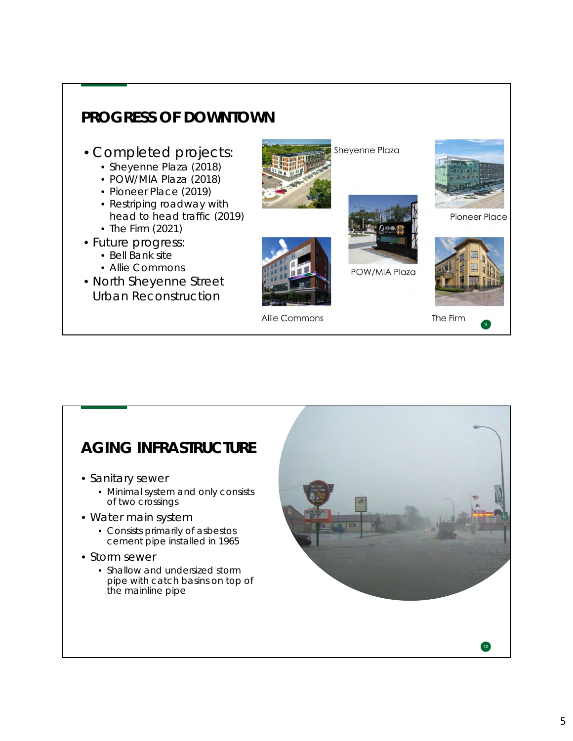

### **AGING INFRASTRUCTURE**

- Sanitary sewer
	- Minimal system and only consists of two crossings
- Water main system
	- Consists primarily of asbestos cement pipe installed in 1965
- Storm sewer
	- Shallow and undersized storm pipe with catch basins on top of the mainline pipe

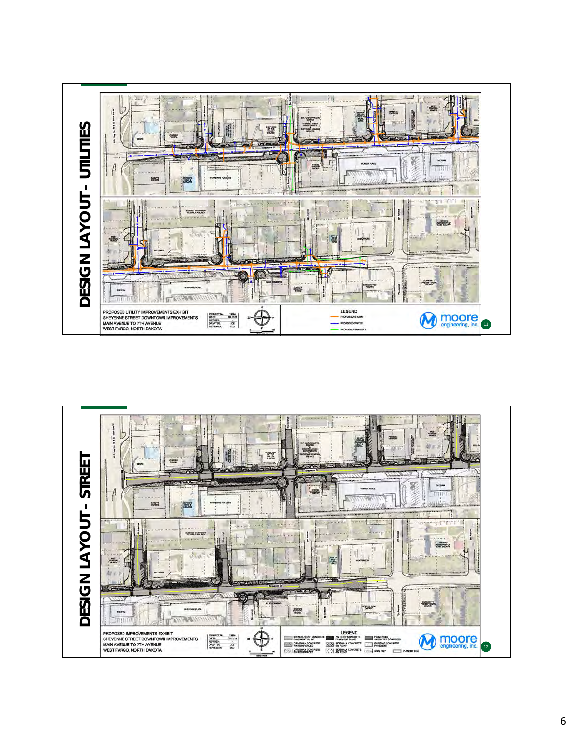

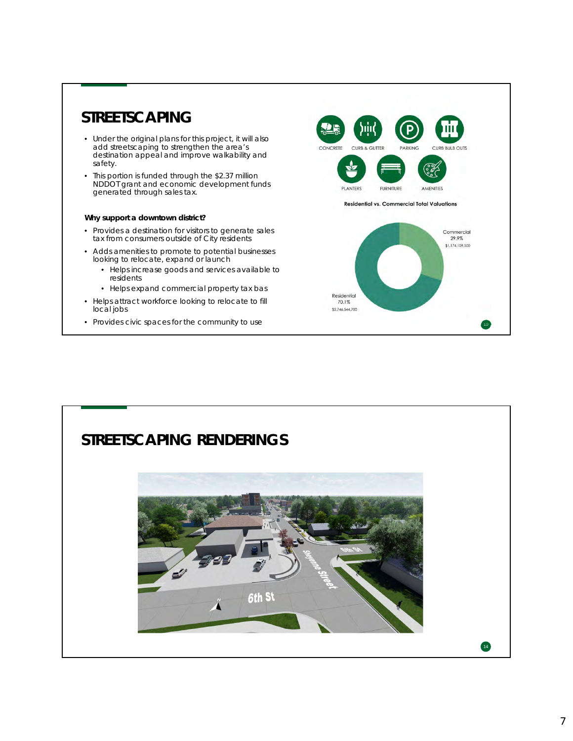#### **STREETSCAPING**

- Under the original plans for this project, it will also add streetscaping to strengthen the area's destination appeal and improve walkability and safety.
- This portion is funded through the \$2.37 million NDDOT grant and economic development funds generated through sales tax.

#### **Why support a downtown district?**

- Provides a destination for visitors to generate sales tax from consumers outside of City residents
- Adds amenities to promote to potential businesses looking to relocate, expand or launch
	- Helps increase goods and services available to residents
	- Helps expand commercial property tax bas
- Helps attract workforce looking to relocate to fill local jobs
- Provides civic spaces for the community to use



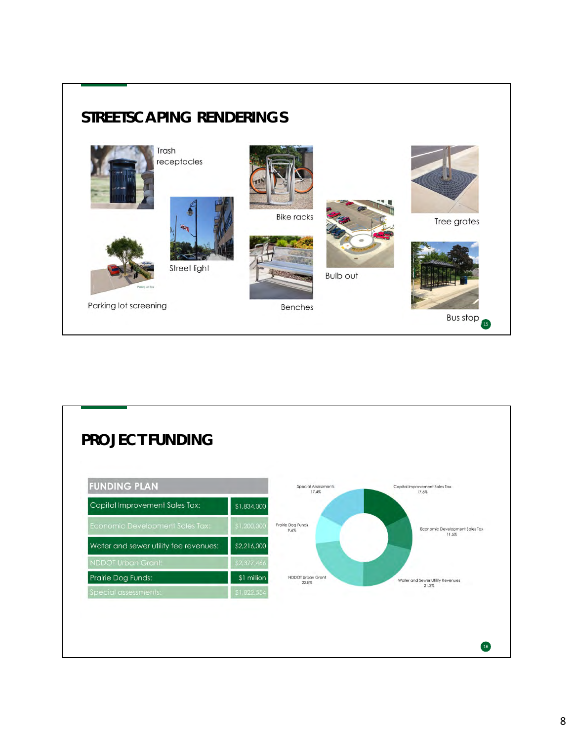

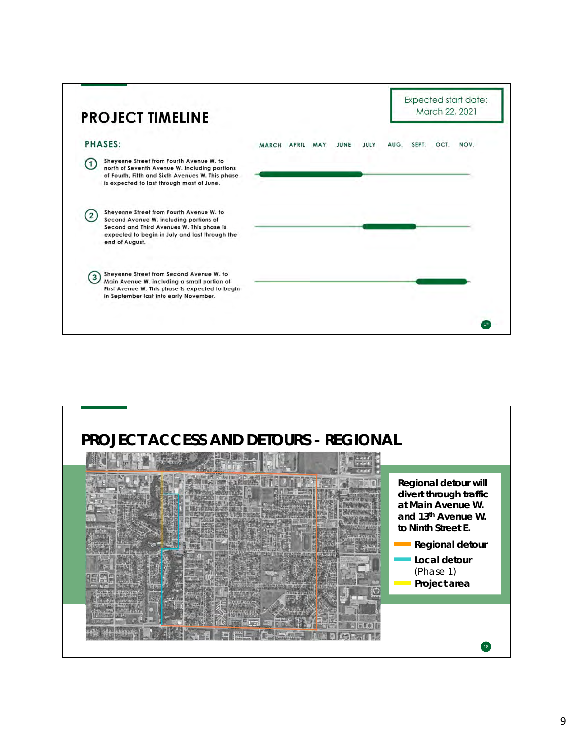

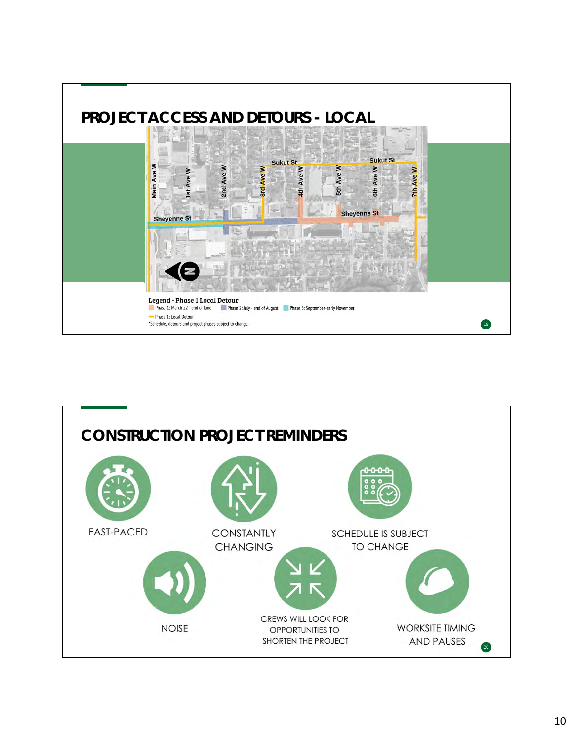